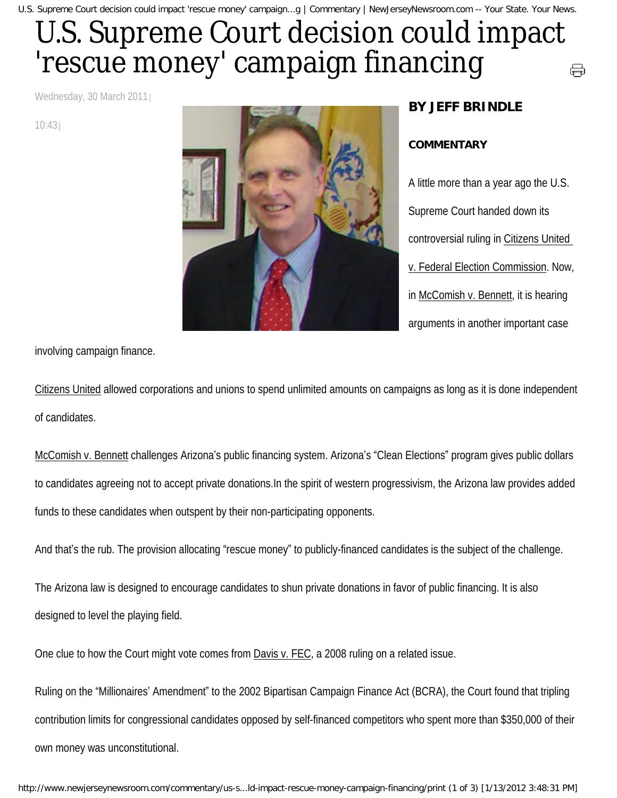## U.S. Supreme Court decision could impact 'rescue money' campaign financing ⊖

Wednesday, 30 March 2011

10:43



## **BY JEFF BRINDLE**

## **COMMENTARY**

A little more than a year ago the U.S. Supreme Court handed down its controversial ruling in Citizens United v. Federal Election Commission. Now, in McComish v. Bennett, it is hearing arguments in another important case

involving campaign finance.

Citizens United allowed corporations and unions to spend unlimited amounts on campaigns as long as it is done independent of candidates.

McComish v. Bennett challenges Arizona's public financing system. Arizona's "Clean Elections" program gives public dollars to candidates agreeing not to accept private donations.In the spirit of western progressivism, the Arizona law provides added funds to these candidates when outspent by their non-participating opponents.

And that's the rub. The provision allocating "rescue money" to publicly-financed candidates is the subject of the challenge.

The Arizona law is designed to encourage candidates to shun private donations in favor of public financing. It is also designed to level the playing field.

One clue to how the Court might vote comes from Davis v. FEC, a 2008 ruling on a related issue.

Ruling on the "Millionaires' Amendment" to the 2002 Bipartisan Campaign Finance Act (BCRA), the Court found that tripling contribution limits for congressional candidates opposed by self-financed competitors who spent more than \$350,000 of their own money was unconstitutional.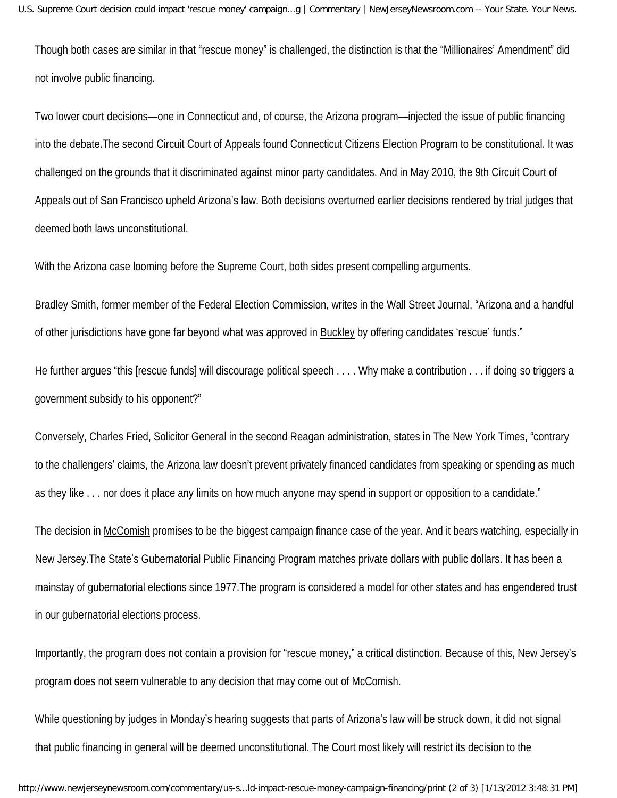Though both cases are similar in that "rescue money" is challenged, the distinction is that the "Millionaires' Amendment" did not involve public financing.

Two lower court decisions—one in Connecticut and, of course, the Arizona program—injected the issue of public financing into the debate.The second Circuit Court of Appeals found Connecticut Citizens Election Program to be constitutional. It was challenged on the grounds that it discriminated against minor party candidates. And in May 2010, the 9th Circuit Court of Appeals out of San Francisco upheld Arizona's law. Both decisions overturned earlier decisions rendered by trial judges that deemed both laws unconstitutional.

With the Arizona case looming before the Supreme Court, both sides present compelling arguments.

Bradley Smith, former member of the Federal Election Commission, writes in the Wall Street Journal, "Arizona and a handful of other jurisdictions have gone far beyond what was approved in Buckley by offering candidates 'rescue' funds."

He further argues "this [rescue funds] will discourage political speech . . . . Why make a contribution . . . if doing so triggers a government subsidy to his opponent?"

Conversely, Charles Fried, Solicitor General in the second Reagan administration, states in The New York Times, "contrary to the challengers' claims, the Arizona law doesn't prevent privately financed candidates from speaking or spending as much as they like . . . nor does it place any limits on how much anyone may spend in support or opposition to a candidate."

The decision in McComish promises to be the biggest campaign finance case of the year. And it bears watching, especially in New Jersey.The State's Gubernatorial Public Financing Program matches private dollars with public dollars. It has been a mainstay of gubernatorial elections since 1977.The program is considered a model for other states and has engendered trust in our gubernatorial elections process.

Importantly, the program does not contain a provision for "rescue money," a critical distinction. Because of this, New Jersey's program does not seem vulnerable to any decision that may come out of McComish.

While questioning by judges in Monday's hearing suggests that parts of Arizona's law will be struck down, it did not signal that public financing in general will be deemed unconstitutional. The Court most likely will restrict its decision to the